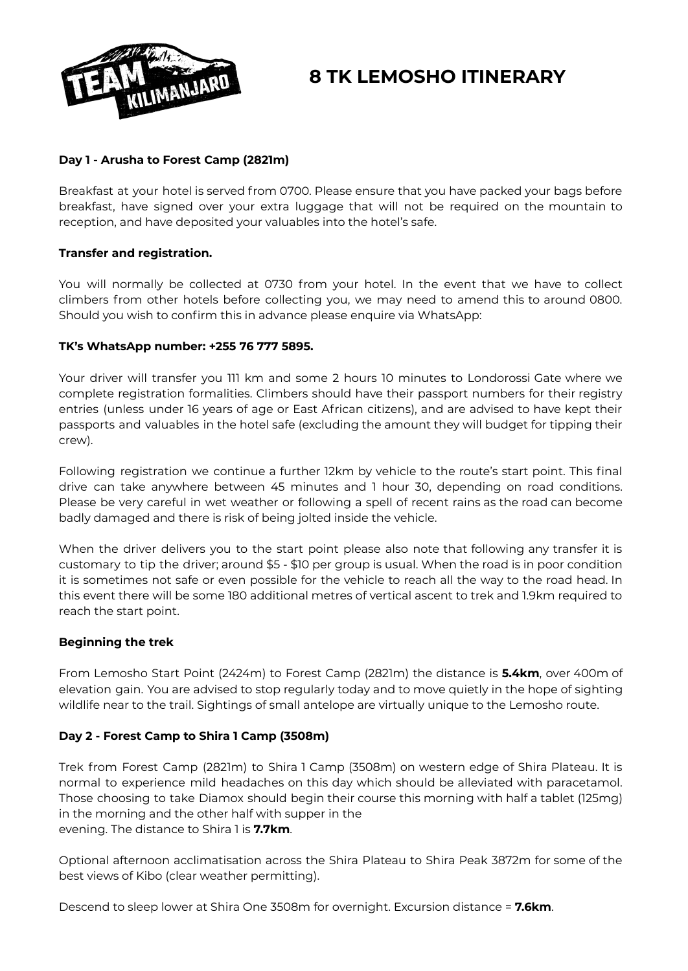

# **8 TK LEMOSHO ITINERARY**

# **Day 1 - Arusha to Forest Camp (2821m)**

Breakfast at your hotel is served from 0700. Please ensure that you have packed your bags before breakfast, have signed over your extra luggage that will not be required on the mountain to reception, and have deposited your valuables into the hotel's safe.

# **Transfer and registration.**

You will normally be collected at 0730 from your hotel. In the event that we have to collect climbers from other hotels before collecting you, we may need to amend this to around 0800. Should you wish to confirm this in advance please enquire via WhatsApp:

# **TK's WhatsApp number: +255 76 777 5895.**

Your driver will transfer you 111 km and some 2 hours 10 minutes to Londorossi Gate where we complete registration formalities. Climbers should have their passport numbers for their registry entries (unless under 16 years of age or East African citizens), and are advised to have kept their passports and valuables in the hotel safe (excluding the amount they will budget for tipping their crew).

Following registration we continue a further 12km by vehicle to the route's start point. This final drive can take anywhere between 45 minutes and 1 hour 30, depending on road conditions. Please be very careful in wet weather or following a spell of recent rains as the road can become badly damaged and there is risk of being jolted inside the vehicle.

When the driver delivers you to the start point please also note that following any transfer it is customary to tip the driver; around \$5 - \$10 per group is usual. When the road is in poor condition it is sometimes not safe or even possible for the vehicle to reach all the way to the road head. In this event there will be some 180 additional metres of vertical ascent to trek and 1.9km required to reach the start point.

# **Beginning the trek**

From Lemosho Start Point (2424m) to Forest Camp (2821m) the distance is **5.4km**, over 400m of elevation gain. You are advised to stop regularly today and to move quietly in the hope of sighting wildlife near to the trail. Sightings of small antelope are virtually unique to the Lemosho route.

# **Day 2 - Forest Camp to Shira 1 Camp (3508m)**

Trek from Forest Camp (2821m) to Shira 1 Camp (3508m) on western edge of Shira Plateau. It is normal to experience mild headaches on this day which should be alleviated with paracetamol. Those choosing to take Diamox should begin their course this morning with half a tablet (125mg) in the morning and the other half with supper in the evening. The distance to Shira 1 is **7.7km**.

Optional afternoon acclimatisation across the Shira Plateau to Shira Peak 3872m for some of the best views of Kibo (clear weather permitting).

Descend to sleep lower at Shira One 3508m for overnight. Excursion distance = **7.6km**.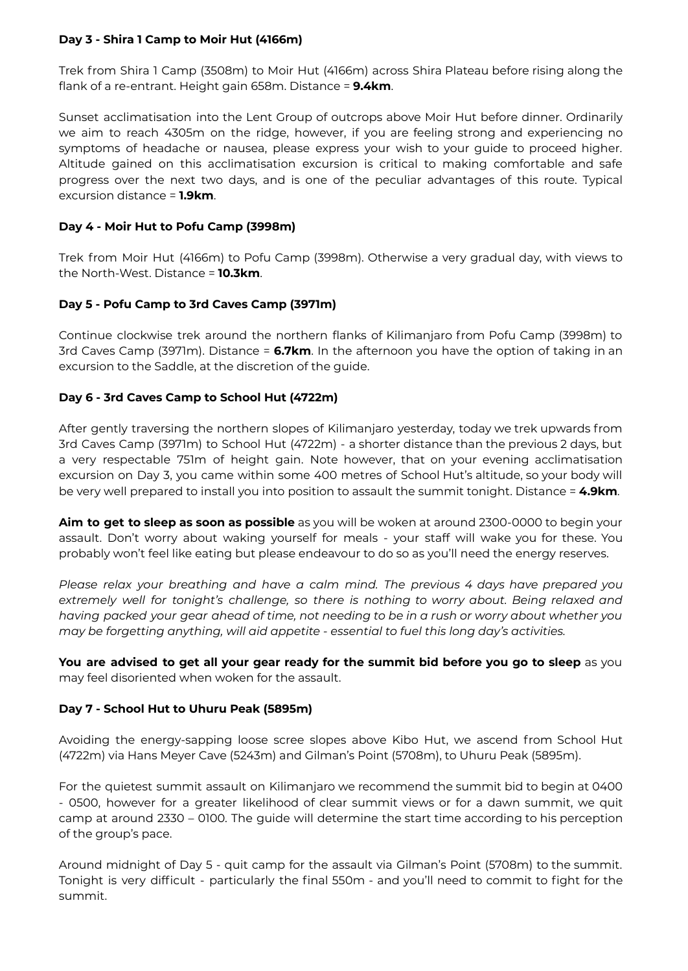#### **Day 3 - Shira 1 Camp to Moir Hut (4166m)**

Trek from Shira 1 Camp (3508m) to Moir Hut (4166m) across Shira Plateau before rising along the flank of a re-entrant. Height gain 658m. Distance = **9.4km**.

Sunset acclimatisation into the Lent Group of outcrops above Moir Hut before dinner. Ordinarily we aim to reach 4305m on the ridge, however, if you are feeling strong and experiencing no symptoms of headache or nausea, please express your wish to your guide to proceed higher. Altitude gained on this acclimatisation excursion is critical to making comfortable and safe progress over the next two days, and is one of the peculiar advantages of this route. Typical excursion distance = **1.9km**.

#### **Day 4 - Moir Hut to Pofu Camp (3998m)**

Trek from Moir Hut (4166m) to Pofu Camp (3998m). Otherwise a very gradual day, with views to the North-West. Distance = **10.3km**.

# **Day 5 - Pofu Camp to 3rd Caves Camp (3971m)**

Continue clockwise trek around the northern flanks of Kilimanjaro from Pofu Camp (3998m) to 3rd Caves Camp (3971m). Distance = **6.7km**. In the afternoon you have the option of taking in an excursion to the Saddle, at the discretion of the guide.

#### **Day 6 - 3rd Caves Camp to School Hut (4722m)**

After gently traversing the northern slopes of Kilimanjaro yesterday, today we trek upwards from 3rd Caves Camp (3971m) to School Hut (4722m) - a shorter distance than the previous 2 days, but a very respectable 751m of height gain. Note however, that on your evening acclimatisation excursion on Day 3, you came within some 400 metres of School Hut's altitude, so your body will be very well prepared to install you into position to assault the summit tonight. Distance = **4.9km**.

**Aim to get to sleep as soon as possible** as you will be woken at around 2300-0000 to begin your assault. Don't worry about waking yourself for meals - your staff will wake you for these. You probably won't feel like eating but please endeavour to do so as you'll need the energy reserves.

*Please relax your breathing and have a calm mind. The previous 4 days have prepared you extremely well for tonight's challenge, so there is nothing to worry about. Being relaxed and* having packed your gear ahead of time, not needing to be in a rush or worry about whether you *may be forgetting anything, will aid appetite - essential to fuel this long day's activities.*

**You are advised to get all your gear ready for the summit bid before you go to sleep** as you may feel disoriented when woken for the assault.

#### **Day 7 - School Hut to Uhuru Peak (5895m)**

Avoiding the energy-sapping loose scree slopes above Kibo Hut, we ascend from School Hut (4722m) via Hans Meyer Cave (5243m) and Gilman's Point (5708m), to Uhuru Peak (5895m).

For the quietest summit assault on Kilimanjaro we recommend the summit bid to begin at 0400 - 0500, however for a greater likelihood of clear summit views or for a dawn summit, we quit camp at around 2330 – 0100. The guide will determine the start time according to his perception of the group's pace.

Around midnight of Day 5 - quit camp for the assault via Gilman's Point (5708m) to the summit. Tonight is very difficult - particularly the final 550m - and you'll need to commit to fight for the summit.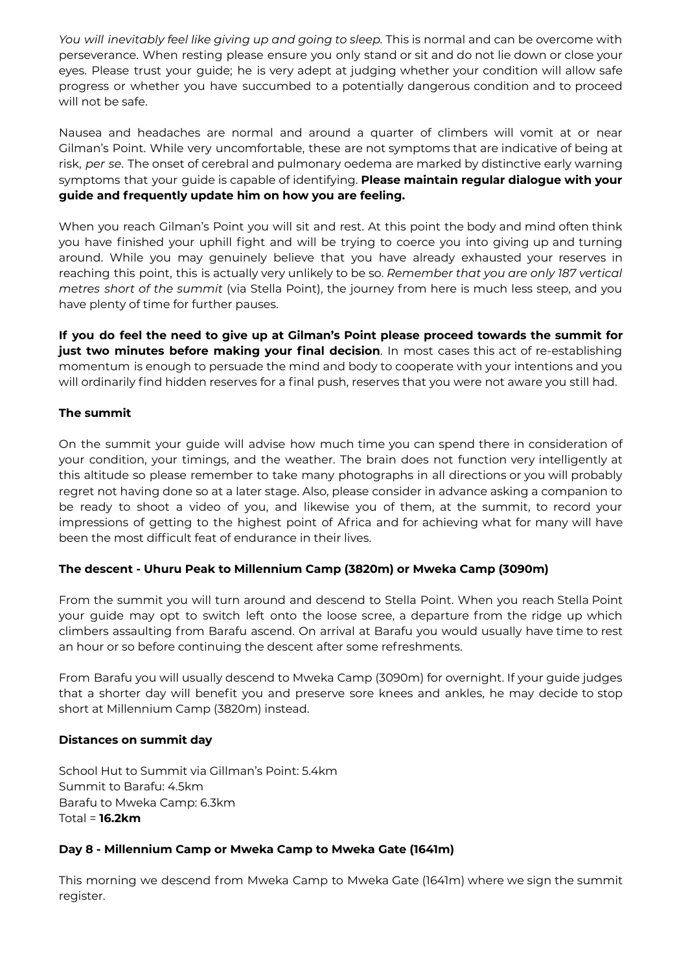*You will inevitably feel like giving up and going to sleep.* This is normal and can be overcome with perseverance. When resting please ensure you only stand or sit and do not lie down or close your eyes. Please trust your guide; he is very adept at judging whether your condition will allow safe progress or whether you have succumbed to a potentially dangerous condition and to proceed will not be safe.

Nausea and headaches are normal and around a quarter of climbers will vomit at or near Gilman's Point. While very uncomfortable, these are not symptoms that are indicative of being at risk, *per se*. The onset of cerebral and pulmonary oedema are marked by distinctive early warning symptoms that your guide is capable of identifying. **Please maintain regular dialogue with your guide and frequently update him on how you are feeling.**

When you reach Gilman's Point you will sit and rest. At this point the body and mind often think you have finished your uphill fight and will be trying to coerce you into giving up and turning around. While you may genuinely believe that you have already exhausted your reserves in reaching this point, this is actually very unlikely to be so. *Remember that you are only 187 vertical metres short of the summit* (via Stella Point), the journey from here is much less steep, and you have plenty of time for further pauses.

**If you do feel the need to give up at Gilman's Point please proceed towards the summit for just two minutes before making your final decision**. In most cases this act of re-establishing momentum is enough to persuade the mind and body to cooperate with your intentions and you will ordinarily find hidden reserves for a final push, reserves that you were not aware you still had.

# **The summit**

On the summit your guide will advise how much time you can spend there in consideration of your condition, your timings, and the weather. The brain does not function very intelligently at this altitude so please remember to take many photographs in all directions or you will probably regret not having done so at a later stage. Also, please consider in advance asking a companion to be ready to shoot a video of you, and likewise you of them, at the summit, to record your impressions of getting to the highest point of Africa and for achieving what for many will have been the most difficult feat of endurance in their lives.

# **The descent - Uhuru Peak to Millennium Camp (3820m) or Mweka Camp (3090m)**

From the summit you will turn around and descend to Stella Point. When you reach Stella Point your guide may opt to switch left onto the loose scree, a departure from the ridge up which climbers assaulting from Barafu ascend. On arrival at Barafu you would usually have time to rest an hour or so before continuing the descent after some refreshments.

From Barafu you will usually descend to Mweka Camp (3090m) for overnight. If your guide judges that a shorter day will benefit you and preserve sore knees and ankles, he may decide to stop short at Millennium Camp (3820m) instead.

# **Distances on summit day**

School Hut to Summit via Gillman's Point: 5.4km Summit to Barafu: 4.5km Barafu to Mweka Camp: 6.3km Total = **16.2km**

# **Day 8 - Millennium Camp or Mweka Camp to Mweka Gate (1641m)**

This morning we descend from Mweka Camp to Mweka Gate (1641m) where we sign the summit register.